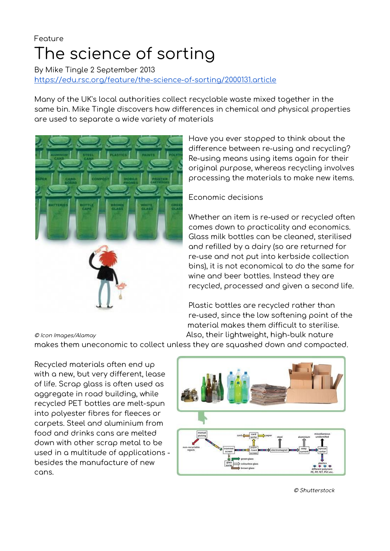# Feature The science of sorting

By Mike Tingle 2 September 2013 <https://edu.rsc.org/feature/the-science-of-sorting/2000131.article>

Many of the UK's local authorities collect recyclable waste mixed together in the same bin. Mike Tingle discovers how differences in chemical and physical properties are used to separate a wide variety of materials



Have you ever stopped to think about the difference between re-using and recycling? Re-using means using items again for their original purpose, whereas recycling involves processing the materials to make new items.

# Economic decisions

Whether an item is re-used or recycled often comes down to practicality and economics. Glass milk bottles can be cleaned, sterilised and refilled by a dairy (so are returned for re-use and not put into kerbside collection bins), it is not economical to do the same for wine and beer bottles. Instead they are recycled, processed and given a second life.

Plastic bottles are recycled rather than re-used, since the low softening point of the material makes them difficult to sterilise. © Icon Images/Alamay **Also, their lightweight, high-bulk nature** 

makes them uneconomic to collect unless they are squashed down and compacted.

Recycled materials often end up with a new, but very different, lease of life. Scrap glass is often used as aggregate in road building, while recycled PET bottles are melt-spun into polyester fibres for fleeces or carpets. Steel and aluminium from food and drinks cans are melted down with other scrap metal to be used in a multitude of applications besides the manufacture of new cans.



© Shutterstock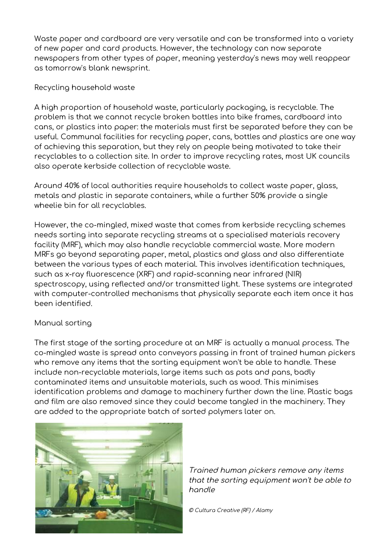Waste paper and cardboard are very versatile and can be transformed into a variety of new paper and card products. However, the technology can now separate newspapers from other types of paper, meaning yesterday's news may well reappear as tomorrow's blank newsprint.

# Recycling household waste

A high proportion of household waste, particularly packaging, is recyclable. The problem is that we cannot recycle broken bottles into bike frames, cardboard into cans, or plastics into paper: the materials must first be separated before they can be useful. Communal facilities for recycling paper, cans, bottles and plastics are one way of achieving this separation, but they rely on people being motivated to take their recyclables to a collection site. In order to improve recycling rates, most UK councils also operate kerbside collection of recyclable waste.

Around 40% of local authorities require households to collect waste paper, glass, metals and plastic in separate containers, while a further 50% provide a single wheelie bin for all recyclables.

However, the co-mingled, mixed waste that comes from kerbside recycling schemes needs sorting into separate recycling streams at a specialised materials recovery facility (MRF), which may also handle recyclable commercial waste. More modern MRFs go beyond separating paper, metal, plastics and glass and also differentiate between the various types of each material. This involves identification techniques, such as x-ray fluorescence (XRF) and rapid-scanning near infrared (NIR) spectroscopy, using reflected and/or transmitted light. These systems are integrated with computer-controlled mechanisms that physically separate each item once it has been identified.

# Manual sorting

The first stage of the sorting procedure at an MRF is actually a manual process. The co-mingled waste is spread onto conveyors passing in front of trained human pickers who remove any items that the sorting equipment won't be able to handle. These include non-recyclable materials, large items such as pots and pans, badly contaminated items and unsuitable materials, such as wood. This minimises identification problems and damage to machinery further down the line. Plastic bags and film are also removed since they could become tangled in the machinery. They are added to the appropriate batch of sorted polymers later on.



Trained human pickers remove any items that the sorting equipment won't be able to handle

© Cultura Creative (RF) / Alamy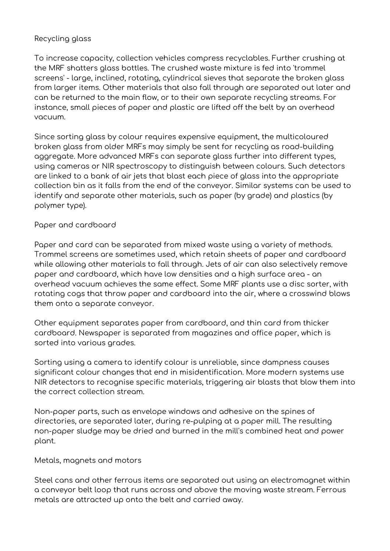### Recycling glass

To increase capacity, collection vehicles compress recyclables. Further crushing at the MRF shatters glass bottles. The crushed waste mixture is fed into 'trommel screens' - large, inclined, rotating, cylindrical sieves that separate the broken glass from larger items. Other materials that also fall through are separated out later and can be returned to the main flow, or to their own separate recycling streams. For instance, small pieces of paper and plastic are lifted off the belt by an overhead vacuum.

Since sorting glass by colour requires expensive equipment, the multicoloured broken glass from older MRFs may simply be sent for recycling as road-building aggregate. More advanced MRFs can separate glass further into different types, using cameras or NIR spectroscopy to distinguish between colours. Such detectors are linked to a bank of air jets that blast each piece of glass into the appropriate collection bin as it falls from the end of the conveyor. Similar systems can be used to identify and separate other materials, such as paper (by grade) and plastics (by polymer type).

### Paper and cardboard

Paper and card can be separated from mixed waste using a variety of methods. Trommel screens are sometimes used, which retain sheets of paper and cardboard while allowing other materials to fall through. Jets of air can also selectively remove paper and cardboard, which have low densities and a high surface area - an overhead vacuum achieves the same effect. Some MRF plants use a disc sorter, with rotating cogs that throw paper and cardboard into the air, where a crosswind blows them onto a separate conveyor.

Other equipment separates paper from cardboard, and thin card from thicker cardboard. Newspaper is separated from magazines and office paper, which is sorted into various grades.

Sorting using a camera to identify colour is unreliable, since dampness causes significant colour changes that end in misidentification. More modern systems use NIR detectors to recognise specific materials, triggering air blasts that blow them into the correct collection stream.

Non-paper parts, such as envelope windows and adhesive on the spines of directories, are separated later, during re-pulping at a paper mill. The resulting non-paper sludge may be dried and burned in the mill's combined heat and power plant.

Metals, magnets and motors

Steel cans and other ferrous items are separated out using an electromagnet within a conveyor belt loop that runs across and above the moving waste stream. Ferrous metals are attracted up onto the belt and carried away.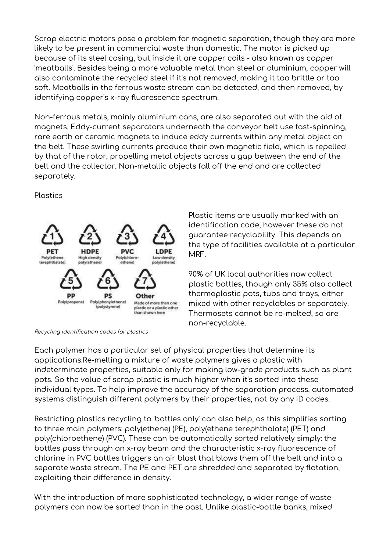Scrap electric motors pose a problem for magnetic separation, though they are more likely to be present in commercial waste than domestic. The motor is picked up because of its steel casing, but inside it are copper coils - also known as copper 'meatballs'. Besides being a more valuable metal than steel or aluminium, copper will also contaminate the recycled steel if it's not removed, making it too brittle or too soft. Meatballs in the ferrous waste stream can be detected, and then removed, by identifying copper's x-ray fluorescence spectrum.

Non-ferrous metals, mainly aluminium cans, are also separated out with the aid of magnets. Eddy-current separators underneath the conveyor belt use fast-spinning, rare earth or ceramic magnets to induce eddy currents within any metal object on the belt. These swirling currents produce their own magnetic field, which is repelled by that of the rotor, propelling metal objects across a gap between the end of the belt and the collector. Non-metallic objects fall off the end and are collected separately.

**Plastics** 





Plastic items are usually marked with an identification code, however these do not guarantee recyclability. This depends on the type of facilities available at a particular MRF.

90% of UK local authorities now collect plastic bottles, though only 35% also collect thermoplastic pots, tubs and trays, either mixed with other recyclables or separately. Thermosets cannot be re-melted, so are non-recyclable.

Each polymer has a particular set of physical properties that determine its applications.Re-melting a mixture of waste polymers gives a plastic with indeterminate properties, suitable only for making low-grade products such as plant pots. So the value of scrap plastic is much higher when it's sorted into these individual types. To help improve the accuracy of the separation process, automated systems distinguish different polymers by their properties, not by any ID codes.

Restricting plastics recycling to 'bottles only' can also help, as this simplifies sorting to three main polymers: poly(ethene) (PE), poly(ethene terephthalate) (PET) and poly(chloroethene) (PVC). These can be automatically sorted relatively simply: the bottles pass through an x-ray beam and the characteristic x-ray fluorescence of chlorine in PVC bottles triggers an air blast that blows them off the belt and into a separate waste stream. The PE and PET are shredded and separated by flotation, exploiting their difference in density.

With the introduction of more sophisticated technology, a wider range of waste polymers can now be sorted than in the past. Unlike plastic-bottle banks, mixed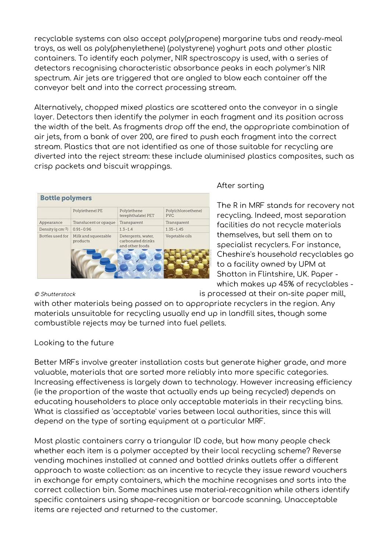recyclable systems can also accept poly(propene) margarine tubs and ready-meal trays, as well as poly(phenylethene) (polystyrene) yoghurt pots and other plastic containers. To identify each polymer, NIR spectroscopy is used, with a series of detectors recognising characteristic absorbance peaks in each polymer's NIR spectrum. Air jets are triggered that are angled to blow each container off the conveyor belt and into the correct processing stream.

Alternatively, chopped mixed plastics are scattered onto the conveyor in a single layer. Detectors then identify the polymer in each fragment and its position across the width of the belt. As fragments drop off the end, the appropriate combination of air jets, from a bank of over 200, are fired to push each fragment into the correct stream. Plastics that are not identified as one of those suitable for recycling are diverted into the reject stream: these include aluminised plastics composites, such as crisp packets and biscuit wrappings.

|                  | Poly(ethene) PE                 | Polylethene<br>terephthalate) PET                          | Poly(chloroethene)<br><b>PVC</b> |
|------------------|---------------------------------|------------------------------------------------------------|----------------------------------|
| Appearance       | Translucent or opaque           | Transparent                                                | Transparent                      |
| Density (q cm-3) | $0.91 - 0.96$                   | $1.3 - 1.4$                                                | $1.35 - 1.45$                    |
| Bottles used for | Milk and squeezable<br>products | Detergents, water,<br>carbonated drinks<br>and other foods | Vegetable oils                   |

# After sorting

The R in MRF stands for recovery not recycling. Indeed, most separation facilities do not recycle materials themselves, but sell them on to specialist recyclers. For instance, Cheshire's household recyclables go to a facility owned by UPM at Shotton in Flintshire, UK. Paper which makes up 45% of recyclables -

© Shutterstock is processed at their on-site paper mill,

with other materials being passed on to appropriate recyclers in the region. Any materials unsuitable for recycling usually end up in landfill sites, though some combustible rejects may be turned into fuel pellets.

Looking to the future

Better MRFs involve greater installation costs but generate higher grade, and more valuable, materials that are sorted more reliably into more specific categories. Increasing effectiveness is largely down to technology. However increasing efficiency (ie the proportion of the waste that actually ends up being recycled) depends on educating householders to place only acceptable materials in their recycling bins. What is classified as 'acceptable' varies between local authorities, since this will depend on the type of sorting equipment at a particular MRF.

Most plastic containers carry a triangular ID code, but how many people check whether each item is a polymer accepted by their local recycling scheme? Reverse vending machines installed at canned and bottled drinks outlets offer a different approach to waste collection: as an incentive to recycle they issue reward vouchers in exchange for empty containers, which the machine recognises and sorts into the correct collection bin. Some machines use material-recognition while others identify specific containers using shape-recognition or barcode scanning. Unacceptable items are rejected and returned to the customer.